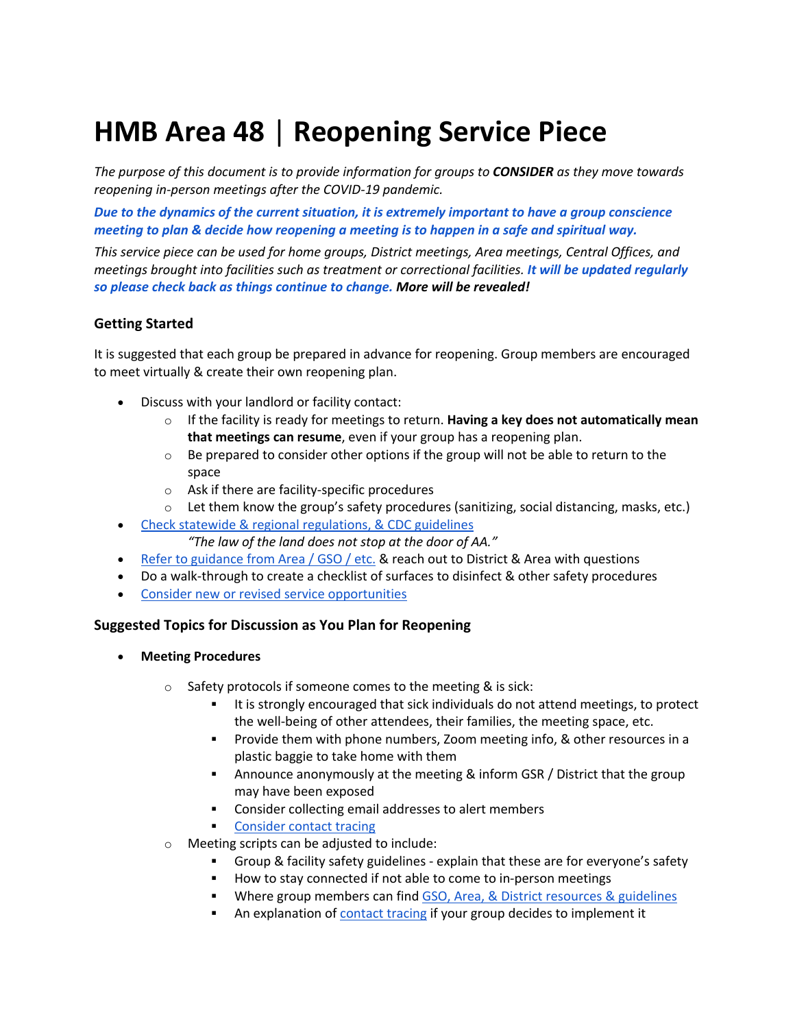# **HMB Area 48** | **Reopening Service Piece**

*The purpose of this document is to provide information for groups to CONSIDER as they move towards reopening in-person meetings after the COVID-19 pandemic.*

*Due to the dynamics of the current situation, it is extremely important to have a group conscience meeting to plan & decide how reopening a meeting is to happen in a safe and spiritual way.*

*This service piece can be used for home groups, District meetings, Area meetings, Central Offices, and meetings brought into facilities such as treatment or correctional facilities. It will be updated regularly so please check back as things continue to change. More will be revealed!*

### **Getting Started**

It is suggested that each group be prepared in advance for reopening. Group members are encouraged to meet virtually & create their own reopening plan.

- Discuss with your landlord or facility contact:
	- o If the facility is ready for meetings to return. **Having a key does not automatically mean that meetings can resume**, even if your group has a reopening plan.
	- $\circ$  Be prepared to consider other options if the group will not be able to return to the space
	- o Ask if there are facility-specific procedures
	- $\circ$  Let them know the group's safety procedures (sanitizing, social distancing, masks, etc.)
- Check statewide & regional regulations, & CDC guidelines
	- *"The law of the land does not stop at the door of AA."*
- Refer to guidance from Area / GSO / etc. & reach out to District & Area with questions
- Do a walk-through to create a checklist of surfaces to disinfect & other safety procedures
- Consider new or revised service opportunities

#### **Suggested Topics for Discussion as You Plan for Reopening**

- **Meeting Procedures**
	- o Safety protocols if someone comes to the meeting & is sick:
		- It is strongly encouraged that sick individuals do not attend meetings, to protect the well-being of other attendees, their families, the meeting space, etc.
		- § Provide them with phone numbers, Zoom meeting info, & other resources in a plastic baggie to take home with them
		- § Announce anonymously at the meeting & inform GSR / District that the group may have been exposed
		- Consider collecting email addresses to alert members
		- Consider contact tracing
	- o Meeting scripts can be adjusted to include:
		- § Group & facility safety guidelines explain that these are for everyone's safety
		- How to stay connected if not able to come to in-person meetings
		- Where group members can find GSO, Area, & District resources & guidelines
		- An explanation of contact tracing if your group decides to implement it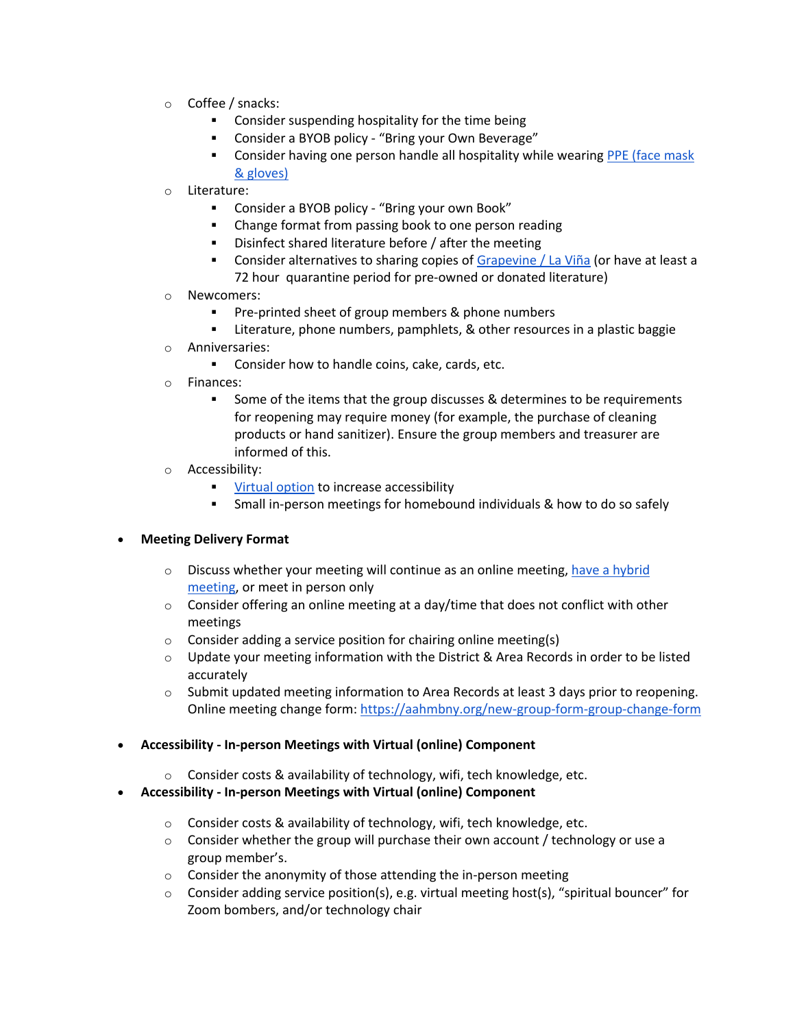- o Coffee / snacks:
	- **•** Consider suspending hospitality for the time being
	- § Consider a BYOB policy "Bring your Own Beverage"
	- **•** Consider having one person handle all hospitality while wearing PPE (face mask & gloves)
- o Literature:
	- Consider a BYOB policy "Bring your own Book"
	- Change format from passing book to one person reading
	- Disinfect shared literature before / after the meeting
	- **Consider alternatives to sharing copies of Grapevine / La Viña (or have at least a** 72 hour quarantine period for pre-owned or donated literature)
- o Newcomers:
	- § Pre-printed sheet of group members & phone numbers
	- Literature, phone numbers, pamphlets, & other resources in a plastic baggie
- o Anniversaries:
	- Consider how to handle coins, cake, cards, etc.
- o Finances:
	- Some of the items that the group discusses & determines to be requirements for reopening may require money (for example, the purchase of cleaning products or hand sanitizer). Ensure the group members and treasurer are informed of this.
- o Accessibility:
	- § Virtual option to increase accessibility
	- Small in-person meetings for homebound individuals & how to do so safely

#### • **Meeting Delivery Format**

- $\circ$  Discuss whether your meeting will continue as an online meeting, have a hybrid meeting, or meet in person only
- $\circ$  Consider offering an online meeting at a day/time that does not conflict with other meetings
- $\circ$  Consider adding a service position for chairing online meeting(s)
- $\circ$  Update your meeting information with the District & Area Records in order to be listed accurately
- $\circ$  Submit updated meeting information to Area Records at least 3 days prior to reopening. Online meeting change form: https://aahmbny.org/new-group-form-group-change-form
- **Accessibility - In-person Meetings with Virtual (online) Component**
	- o Consider costs & availability of technology, wifi, tech knowledge, etc.
- **Accessibility - In-person Meetings with Virtual (online) Component**
	- o Consider costs & availability of technology, wifi, tech knowledge, etc.
	- $\circ$  Consider whether the group will purchase their own account / technology or use a group member's.
	- o Consider the anonymity of those attending the in-person meeting
	- o Consider adding service position(s), e.g. virtual meeting host(s), "spiritual bouncer" for Zoom bombers, and/or technology chair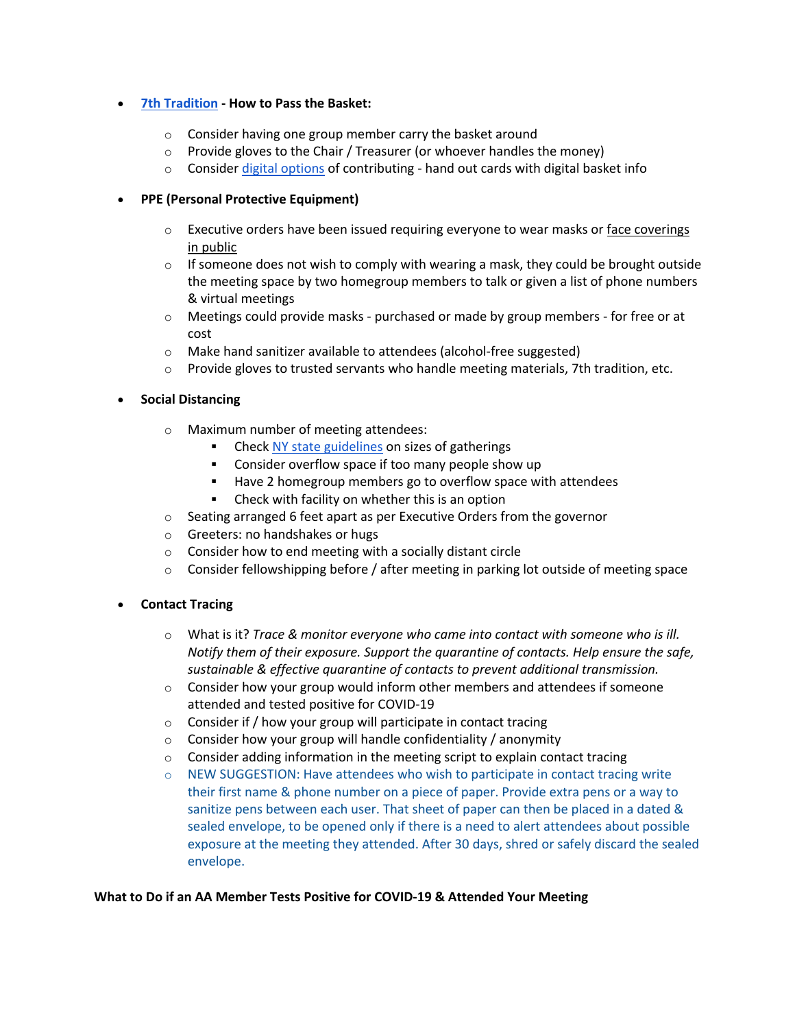### • **7th Tradition - How to Pass the Basket:**

- o Consider having one group member carry the basket around
- o Provide gloves to the Chair / Treasurer (or whoever handles the money)
- $\circ$  Consider digital options of contributing hand out cards with digital basket info

# • **PPE (Personal Protective Equipment)**

- $\circ$  Executive orders have been issued requiring everyone to wear masks or face coverings in public
- $\circ$  If someone does not wish to comply with wearing a mask, they could be brought outside the meeting space by two homegroup members to talk or given a list of phone numbers & virtual meetings
- $\circ$  Meetings could provide masks purchased or made by group members for free or at cost
- o Make hand sanitizer available to attendees (alcohol-free suggested)
- $\circ$  Provide gloves to trusted servants who handle meeting materials, 7th tradition, etc.
- **Social Distancing**
	- o Maximum number of meeting attendees:
		- Check NY state guidelines on sizes of gatherings
		- Consider overflow space if too many people show up
		- Have 2 homegroup members go to overflow space with attendees
		- Check with facility on whether this is an option
	- o Seating arranged 6 feet apart as per Executive Orders from the governor
	- o Greeters: no handshakes or hugs
	- o Consider how to end meeting with a socially distant circle
	- $\circ$  Consider fellowshipping before / after meeting in parking lot outside of meeting space
- **Contact Tracing**
	- o What is it? *Trace & monitor everyone who came into contact with someone who is ill. Notify them of their exposure. Support the quarantine of contacts. Help ensure the safe, sustainable & effective quarantine of contacts to prevent additional transmission.*
	- $\circ$  Consider how your group would inform other members and attendees if someone attended and tested positive for COVID-19
	- $\circ$  Consider if / how your group will participate in contact tracing
	- $\circ$  Consider how your group will handle confidentiality / anonymity
	- o Consider adding information in the meeting script to explain contact tracing
	- $\circ$  NEW SUGGESTION: Have attendees who wish to participate in contact tracing write their first name & phone number on a piece of paper. Provide extra pens or a way to sanitize pens between each user. That sheet of paper can then be placed in a dated & sealed envelope, to be opened only if there is a need to alert attendees about possible exposure at the meeting they attended. After 30 days, shred or safely discard the sealed envelope.

#### **What to Do if an AA Member Tests Positive for COVID-19 & Attended Your Meeting**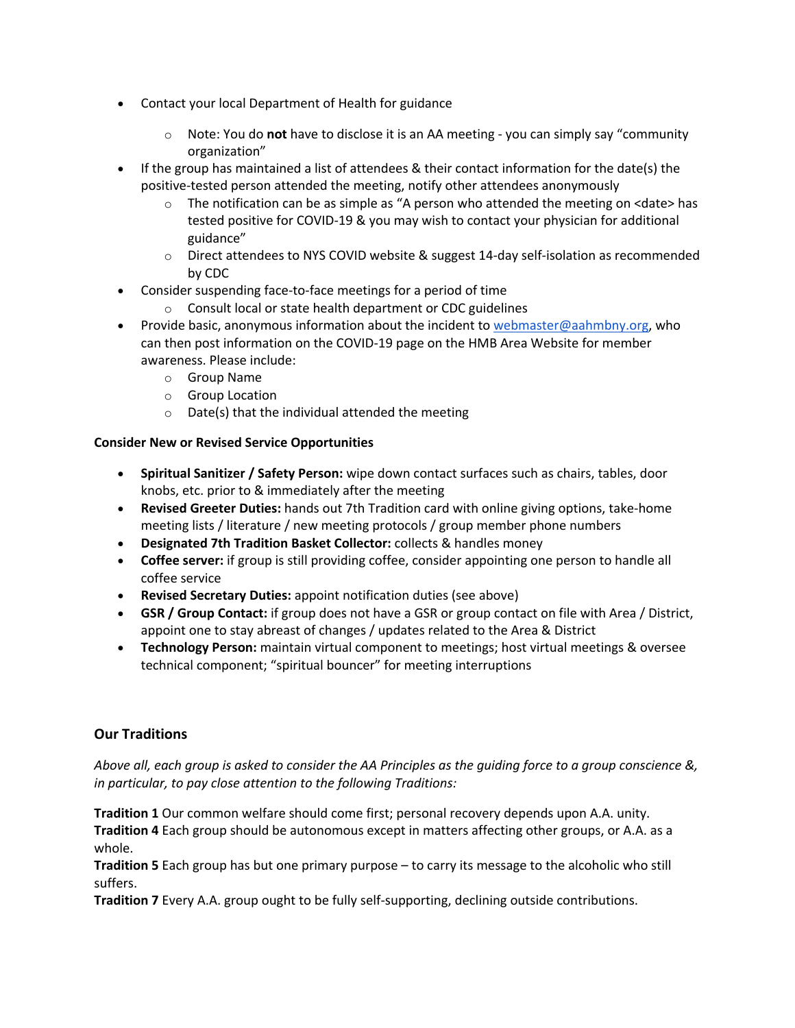- Contact your local Department of Health for guidance
	- o Note: You do **not** have to disclose it is an AA meeting you can simply say "community organization"
- If the group has maintained a list of attendees & their contact information for the date(s) the positive-tested person attended the meeting, notify other attendees anonymously
	- $\circ$  The notification can be as simple as "A person who attended the meeting on <date> has tested positive for COVID-19 & you may wish to contact your physician for additional guidance"
	- $\circ$  Direct attendees to NYS COVID website & suggest 14-day self-isolation as recommended by CDC
- Consider suspending face-to-face meetings for a period of time
	- o Consult local or state health department or CDC guidelines
- Provide basic, anonymous information about the incident to webmaster@aahmbny.org, who can then post information on the COVID-19 page on the HMB Area Website for member awareness. Please include:
	- o Group Name
	- o Group Location
	- o Date(s) that the individual attended the meeting

# **Consider New or Revised Service Opportunities**

- **Spiritual Sanitizer / Safety Person:** wipe down contact surfaces such as chairs, tables, door knobs, etc. prior to & immediately after the meeting
- **Revised Greeter Duties:** hands out 7th Tradition card with online giving options, take-home meeting lists / literature / new meeting protocols / group member phone numbers
- **Designated 7th Tradition Basket Collector:** collects & handles money
- **Coffee server:** if group is still providing coffee, consider appointing one person to handle all coffee service
- **Revised Secretary Duties:** appoint notification duties (see above)
- **GSR / Group Contact:** if group does not have a GSR or group contact on file with Area / District, appoint one to stay abreast of changes / updates related to the Area & District
- **Technology Person:** maintain virtual component to meetings; host virtual meetings & oversee technical component; "spiritual bouncer" for meeting interruptions

# **Our Traditions**

*Above all, each group is asked to consider the AA Principles as the guiding force to a group conscience &, in particular, to pay close attention to the following Traditions:*

**Tradition 1** Our common welfare should come first; personal recovery depends upon A.A. unity. **Tradition 4** Each group should be autonomous except in matters affecting other groups, or A.A. as a whole.

**Tradition 5** Each group has but one primary purpose – to carry its message to the alcoholic who still suffers.

**Tradition 7** Every A.A. group ought to be fully self-supporting, declining outside contributions.